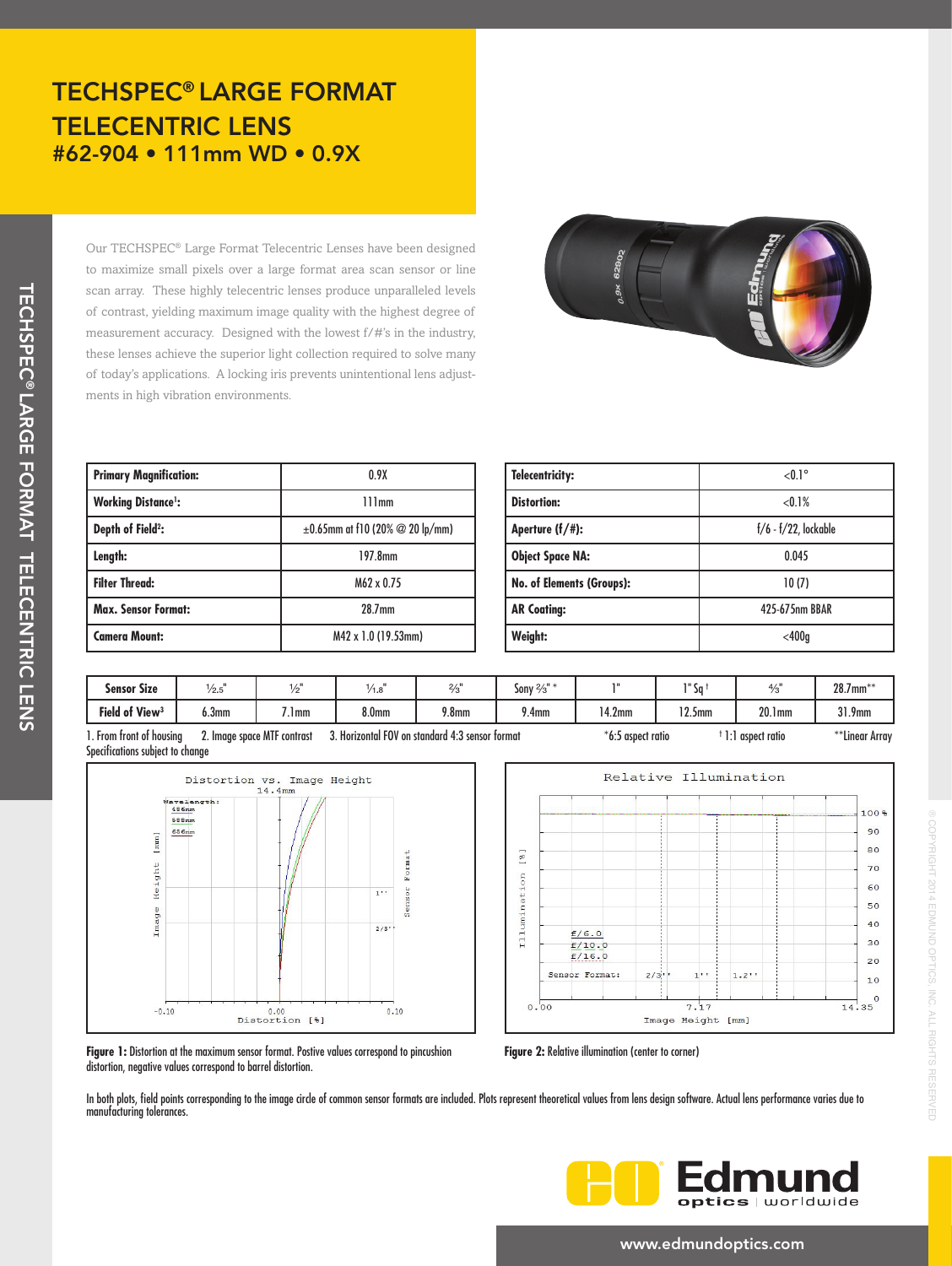## TECHSPEC® LARGE FORMAT TELECENTRIC LENS #62-904 • 111mm WD • 0.9X

Our TECHSPEC® Large Format Telecentric Lenses have been designed to maximize small pixels over a large format area scan sensor or line scan array. These highly telecentric lenses produce unparalleled levels of contrast, yielding maximum image quality with the highest degree of measurement accuracy. Designed with the lowest f/#'s in the industry, these lenses achieve the superior light collection required to solve many of today's applications. A locking iris prevents unintentional lens adjustments in high vibration environments.



| <b>Primary Magnification:</b> | 0.9X                                          |  |  |  |
|-------------------------------|-----------------------------------------------|--|--|--|
| <b>Working Distance':</b>     | 111mm                                         |  |  |  |
| Depth of Field <sup>2</sup> : | $\pm 0.65$ mm at f10 (20% $\oslash$ 20 lp/mm) |  |  |  |
| Length:                       | 197.8mm                                       |  |  |  |
| <b>Filter Thread:</b>         | M62 x 0.75                                    |  |  |  |
| <b>Max. Sensor Format:</b>    | 28.7mm                                        |  |  |  |
| <b>Camera Mount:</b>          | M42 x 1.0 (19.53mm)                           |  |  |  |

| <b>Telecentricity:</b>           | $< 0.1$ °               |  |  |  |
|----------------------------------|-------------------------|--|--|--|
| <b>Distortion:</b>               | $< 0.1\%$               |  |  |  |
| Aperture $(f/\#)$ :              | $f/6 - f/22$ , lockable |  |  |  |
| <b>Object Space NA:</b>          | 0.045                   |  |  |  |
| <b>No. of Elements (Groups):</b> | 10(7)                   |  |  |  |
| <b>AR Coating:</b>               | 425-675nm BBAR          |  |  |  |
| Weight:                          | $<$ 400q                |  |  |  |

| <b>Sensor Size</b>         | /2.5                        | £    | 1.0               | $2/5$ "                                         | 21<br>Sony $\frac{2}{3}$ | <b>TH</b>           | $1"$ Sn $\cdot$ | $\frac{4}{3}$      | $28.7$ mm**    |
|----------------------------|-----------------------------|------|-------------------|-------------------------------------------------|--------------------------|---------------------|-----------------|--------------------|----------------|
| Field of View <sup>3</sup> | 6.3 <sub>mm</sub>           | l mm | 8.0 <sub>mm</sub> | 9.8 <sub>mm</sub>                               | 9.4 <sub>mm</sub>        | 4.2 <sub>mm</sub>   | $12.5$ mm       | 20.1 <sub>mm</sub> | $31.9$ mm      |
| From front of housina      | 2. Image space MTF contrast |      |                   | 3. Horizontal FOV on standard 4:3 sensor format |                          | $*6:5$ aspect ratio |                 | l aspect ratio     | **Linear Array |

1. From front of housing 2. Image space MTF contrast 3. Horizontal FOV on standard 4:3 sensor format \*6:5 aspect ratio Specifications subject to change





® COPYRIGHT 2014 EDMUND OPTICS, INC. ALL RIGHTS RESERVED

COPYRIGHT 2014 EDMUND OPTICS, INC. ALL RIGHTS RESERVED

**Figure 1:** Distortion at the maximum sensor format. Postive values correspond to pincushion distortion, negative values correspond to barrel distortion.

**Figure 2:** Relative illumination (center to corner)

In both plots, field points corresponding to the image circle of common sensor formats are included. Plots represent theoretical values from lens design software. Actual lens performance varies due to manufacturing tolerances.



### www.edmundoptics.com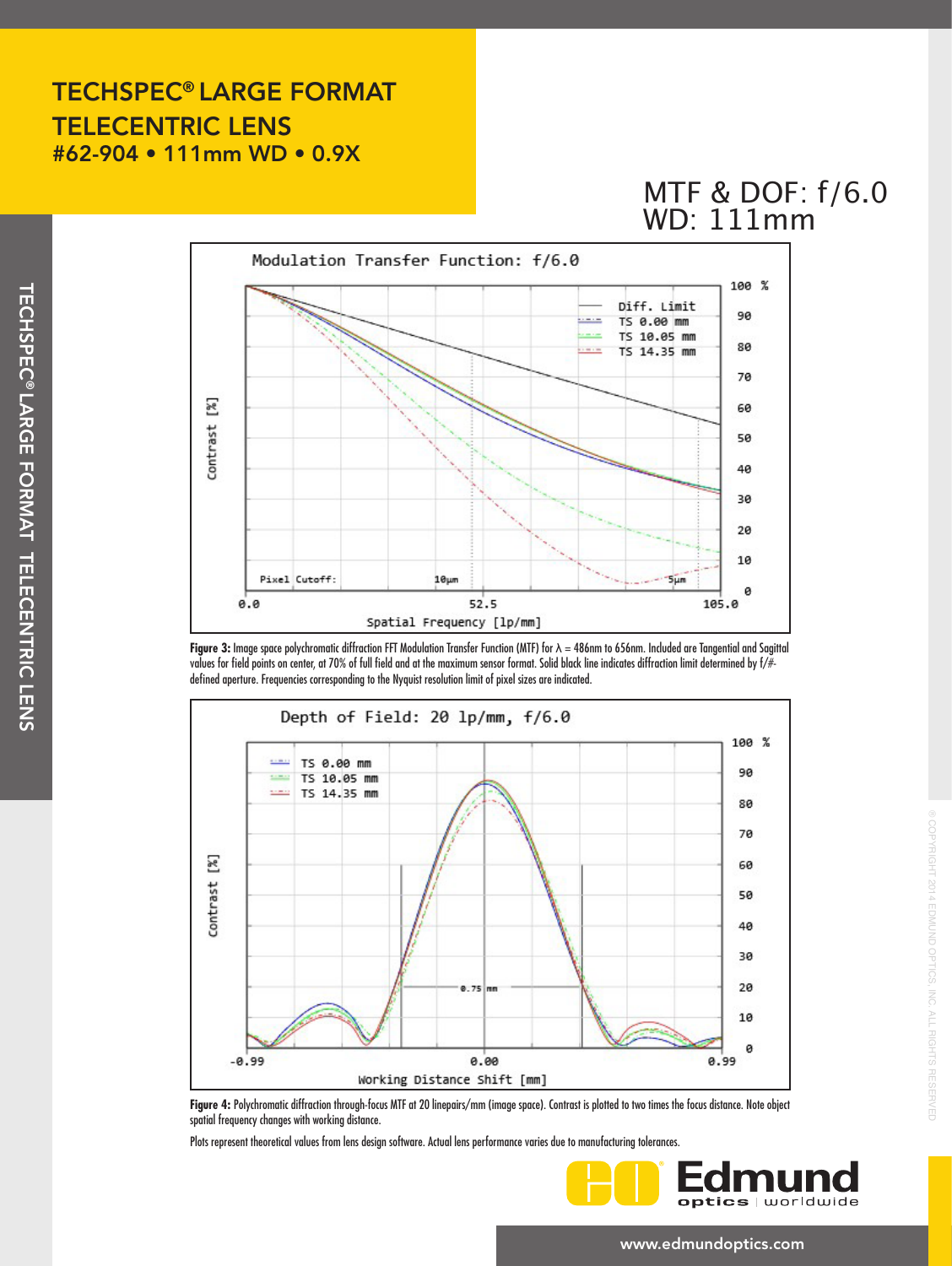## TECHSPEC® LARGE FORMAT TELECENTRIC LENS #62-904 • 111mm WD • 0.9X

# MTF & DOF: 1/6.0 WD: 111mm



**Figure 3:** Image space polychromatic diffraction FFT Modulation Transfer Function (MTF) for λ = 486nm to 656nm. Included are Tangential and Sagittal values for field points on center, at 70% of full field and at the maximum sensor format. Solid black line indicates diffraction limit determined by f/# defined aperture. Frequencies corresponding to the Nyquist resolution limit of pixel sizes are indicated.



**Figure 4:** Polychromatic diffraction through-focus MTF at 20 linepairs/mm (image space). Contrast is plotted to two times the focus distance. Note object spatial frequency changes with working distance.

Plots represent theoretical values from lens design software. Actual lens performance varies due to manufacturing tolerances.



® COPYRIGHT 2014 EDMUND OPTICS, INC. ALL RIGHTS RESERVED

**/RIGHT 2014 EDMUND OPTICS, INC. ALL RIGHTS RESERVED** 

#### www.edmundoptics.com